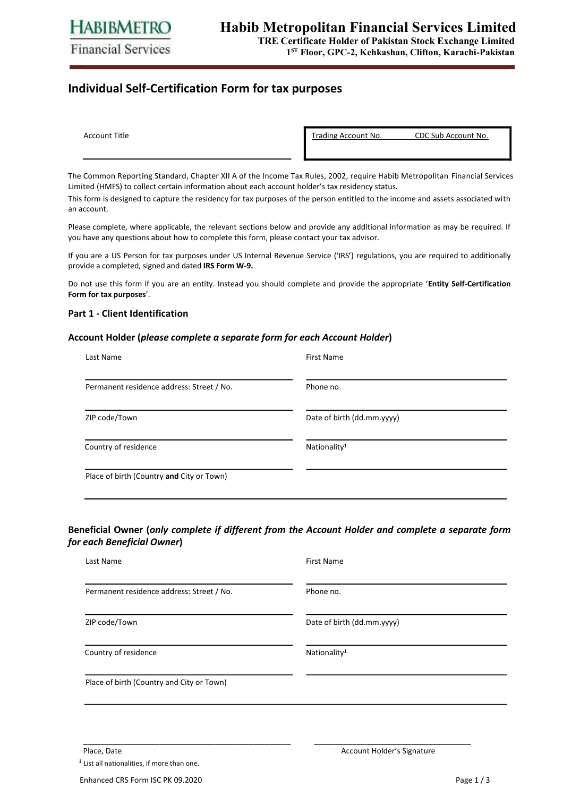# **Individual Self-Certification Form for tax purposes**

| Account Title |  |
|---------------|--|

Trading Account No. CDC Sub Account No.

The Common Reporting Standard, Chapter XII A of the Income Tax Rules, 2002, require Habib Metropolitan Financial Services Limited (HMFS) to collect certain information about each account holder's tax residency status.

This form is designed to capture the residency for tax purposes of the person entitled to the income and assets associated with an account.

Please complete, where applicable, the relevant sections below and provide any additional information as may be required. If you have any questions about how to complete this form, please contact your tax advisor.

If you are a US Person for tax purposes under US Internal Revenue Service ('IRS') regulations, you are required to additionally provide a completed, signed and dated **IRS Form W-9.** 

Do not use this form if you are an entity. Instead you should complete and provide the appropriate '**Entity Self-Certification Form for tax purposes**'.

### **Part 1 - Client Identification**

#### **Account Holder (***please complete a separate form for each Account Holder***)**

| Last Name                                 | <b>First Name</b>          |
|-------------------------------------------|----------------------------|
| Permanent residence address: Street / No. | Phone no.                  |
| ZIP code/Town                             | Date of birth (dd.mm.yyyy) |
| Country of residence                      | Nationality <sup>1</sup>   |
| Place of birth (Country and City or Town) |                            |

## **Beneficial Owner (***only complete if different from the Account Holder and complete a separate form for each Beneficial Owner***)**

| Last Name                                 | <b>First Name</b>          |
|-------------------------------------------|----------------------------|
| Permanent residence address: Street / No. | Phone no.                  |
| ZIP code/Town                             | Date of birth (dd.mm.yyyy) |
| Country of residence                      | Nationality <sup>1</sup>   |
| Place of birth (Country and City or Town) |                            |

\_\_\_\_\_\_\_\_\_\_\_\_\_\_\_\_\_\_\_\_\_\_\_\_\_\_\_\_\_\_\_\_\_\_\_\_\_\_\_\_\_\_\_\_\_\_\_\_\_ \_\_\_\_\_\_\_\_\_\_\_\_\_\_\_\_\_\_\_\_\_\_\_\_\_\_\_\_\_\_\_\_\_\_\_\_\_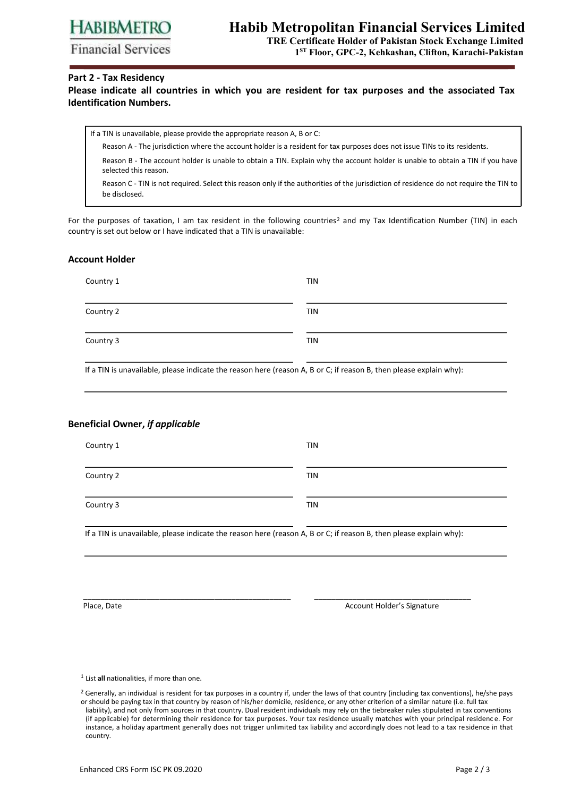**HABIBMETRO** 

**Financial Services** 

# **Habib Metropolitan Financial Services Limited**

**TRE Certificate Holder of Pakistan Stock Exchange Limited 1 ST Floor, GPC-2, Kehkashan, Clifton, Karachi-Pakistan** 

### **Part 2 - Tax Residency**

**Please indicate all countries in which you are resident for tax purposes and the associated Tax Identification Numbers.** 

If a TIN is unavailable, please provide the appropriate reason A, B or C:

Reason A - The jurisdiction where the account holder is a resident for tax purposes does not issue TINs to its residents.

Reason B - The account holder is unable to obtain a TIN. Explain why the account holder is unable to obtain a TIN if you have selected this reason.

Reason C - TIN is not required. Select this reason only if the authorities of the jurisdiction of residence do not require the TIN to be disclosed.

For the purposes of taxation, I am tax resident in the following countries<sup>2</sup> and my Tax Identification Number (TIN) in each country is set out below or I have indicated that a TIN is unavailable:

### **Account Holder**

| Country 1 | <b>TIN</b> |
|-----------|------------|
| Country 2 | <b>TIN</b> |
| Country 3 | <b>TIN</b> |

If a TIN is unavailable, please indicate the reason here (reason A, B or C; if reason B, then please explain why):

### **Beneficial Owner,** *if applicable*

| Country 1 | <b>TIN</b> |
|-----------|------------|
| Country 2 | <b>TIN</b> |
| Country 3 | <b>TIN</b> |

If a TIN is unavailable, please indicate the reason here (reason A, B or C; if reason B, then please explain why):

\_\_\_\_\_\_\_\_\_\_\_\_\_\_\_\_\_\_\_\_\_\_\_\_\_\_\_\_\_\_\_\_\_\_\_\_\_\_\_\_\_\_\_\_\_\_\_\_\_ \_\_\_\_\_\_\_\_\_\_\_\_\_\_\_\_\_\_\_\_\_\_\_\_\_\_\_\_\_\_\_\_\_\_\_\_\_

Place, Date **Account Holder's Signature** Account Holder's Signature

<sup>1</sup> List **all** nationalities, if more than one.

 $2$  Generally, an individual is resident for tax purposes in a country if, under the laws of that country (including tax conventions), he/she pays or should be paying tax in that country by reason of his/her domicile, residence, or any other criterion of a similar nature (i.e. full tax liability), and not only from sources in that country. Dual resident individuals may rely on the tiebreaker rules stipulated in tax conventions (if applicable) for determining their residence for tax purposes. Your tax residence usually matches with your principal residenc e. For instance, a holiday apartment generally does not trigger unlimited tax liability and accordingly does not lead to a tax re sidence in that country.